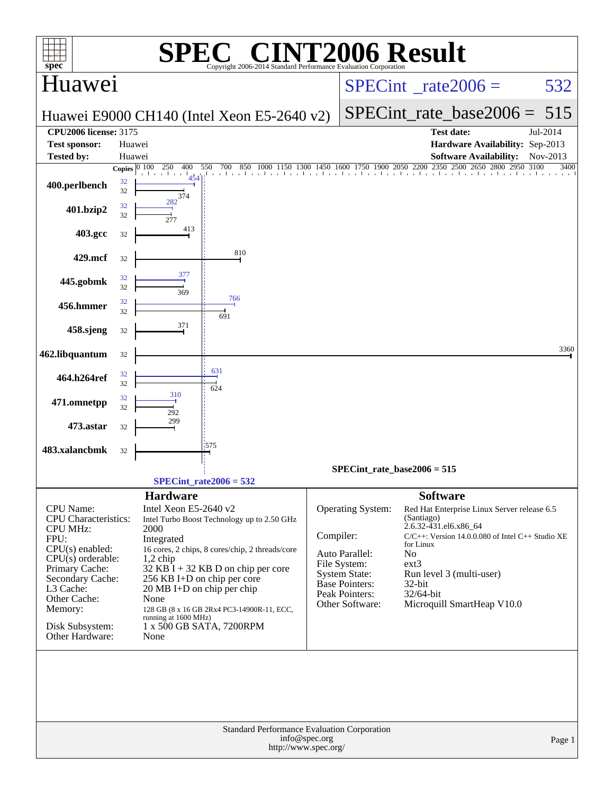| spec®                                                       |                         |                                                                 | $\blacksquare$<br>Copyright 2006-2014 Standard Performance Evaluation Corporation |           |                                      | <b>INT2006 Result</b>                                                                                                      |                                |  |  |  |
|-------------------------------------------------------------|-------------------------|-----------------------------------------------------------------|-----------------------------------------------------------------------------------|-----------|--------------------------------------|----------------------------------------------------------------------------------------------------------------------------|--------------------------------|--|--|--|
| Huawei                                                      |                         |                                                                 |                                                                                   |           |                                      | $SPECint^{\circ}$ _rate2006 =                                                                                              | 532                            |  |  |  |
|                                                             |                         |                                                                 | Huawei E9000 CH140 (Intel Xeon E5-2640 v2)                                        |           | $SPECint_rate\_base2006 =$           | 515                                                                                                                        |                                |  |  |  |
| <b>CPU2006</b> license: 3175<br><b>Test sponsor:</b>        | Huawei                  |                                                                 |                                                                                   |           |                                      | <b>Test date:</b><br>Hardware Availability: Sep-2013                                                                       | Jul-2014                       |  |  |  |
| Tested by:                                                  | Huawei                  |                                                                 |                                                                                   |           |                                      | <b>Software Availability:</b>                                                                                              | Nov-2013                       |  |  |  |
|                                                             | Copies $\boxed{0\ 100}$ | 250<br>400<br>$\frac{100}{100}$ $\frac{1}{100}$ $\frac{1}{454}$ | 550<br>700<br>850<br>1150                                                         | 1300      | 1450 1600 1750 1900 2050 2200 2350   | 2500<br>2650 2800<br>din a bha a bha a bha a bha a bha a bha a bha a bha a bha a bha a bha a bha a bha a bha a bha a bha a | $\overline{2950}$ 3100<br>3400 |  |  |  |
| 400.perlbench                                               | 32<br>32                | 374                                                             |                                                                                   |           |                                      |                                                                                                                            |                                |  |  |  |
| 401.bzip2                                                   | 32<br>32                | 282<br>277                                                      |                                                                                   |           |                                      |                                                                                                                            |                                |  |  |  |
| 403.gcc                                                     | 32                      | 413                                                             |                                                                                   |           |                                      |                                                                                                                            |                                |  |  |  |
| 429.mcf                                                     | 32                      |                                                                 | 810                                                                               |           |                                      |                                                                                                                            |                                |  |  |  |
| 445.gobmk                                                   | 32<br>32                | 377<br>369                                                      |                                                                                   |           |                                      |                                                                                                                            |                                |  |  |  |
| 456.hmmer                                                   | 32<br>32                |                                                                 | 766<br>691                                                                        |           |                                      |                                                                                                                            |                                |  |  |  |
| 458.sjeng                                                   | 32                      | 371                                                             |                                                                                   |           |                                      |                                                                                                                            |                                |  |  |  |
| 462.libquantum                                              | 32                      |                                                                 |                                                                                   |           |                                      |                                                                                                                            | 3360                           |  |  |  |
| 464.h264ref                                                 | 32<br>32                | 310                                                             | 631<br>624                                                                        |           |                                      |                                                                                                                            |                                |  |  |  |
| 471.omnetpp                                                 | 32<br>32                | 292                                                             |                                                                                   |           |                                      |                                                                                                                            |                                |  |  |  |
| 473.astar                                                   | 32                      | 299                                                             |                                                                                   |           |                                      |                                                                                                                            |                                |  |  |  |
| 483.xalancbmk                                               | 32                      |                                                                 | '575                                                                              |           |                                      |                                                                                                                            |                                |  |  |  |
|                                                             |                         | $SPECint_rate2006 = 532$                                        |                                                                                   |           |                                      | $SPECint_rate_base2006 = 515$                                                                                              |                                |  |  |  |
|                                                             |                         | <b>Hardware</b>                                                 |                                                                                   |           |                                      | <b>Software</b>                                                                                                            |                                |  |  |  |
| CPU Name:<br><b>CPU</b> Characteristics:<br><b>CPU MHz:</b> |                         | Intel Xeon E5-2640 v2<br>2000                                   | Intel Turbo Boost Technology up to 2.50 GHz                                       |           | Operating System:                    | Red Hat Enterprise Linux Server release 6.5<br>(Santiago)<br>2.6.32-431.el6.x86_64                                         |                                |  |  |  |
| FPU:                                                        |                         | Integrated                                                      |                                                                                   | Compiler: |                                      | C/C++: Version 14.0.0.080 of Intel C++ Studio XE<br>for Linux                                                              |                                |  |  |  |
| $CPU(s)$ enabled:<br>$CPU(s)$ orderable:                    |                         | $1,2$ chip                                                      | 16 cores, 2 chips, 8 cores/chip, 2 threads/core                                   |           | Auto Parallel:                       | N <sub>o</sub>                                                                                                             |                                |  |  |  |
| Primary Cache:                                              |                         |                                                                 | $32$ KB I + 32 KB D on chip per core                                              |           | File System:<br><b>System State:</b> | ext3<br>Run level 3 (multi-user)                                                                                           |                                |  |  |  |
| Secondary Cache:<br>L3 Cache:                               |                         | 256 KB I+D on chip per core<br>20 MB I+D on chip per chip       |                                                                                   |           | Base Pointers:                       | 32-bit                                                                                                                     |                                |  |  |  |
| Other Cache:                                                |                         | None                                                            |                                                                                   |           | Peak Pointers:                       | 32/64-bit                                                                                                                  |                                |  |  |  |
| Memory:                                                     |                         |                                                                 | 128 GB (8 x 16 GB 2Rx4 PC3-14900R-11, ECC,                                        |           | Other Software:                      | Microquill SmartHeap V10.0                                                                                                 |                                |  |  |  |
| Disk Subsystem:<br>Other Hardware:                          |                         | running at 1600 MHz)<br>1 x 500 GB SATA, 7200RPM<br>None        |                                                                                   |           |                                      |                                                                                                                            |                                |  |  |  |
|                                                             |                         |                                                                 |                                                                                   |           |                                      |                                                                                                                            |                                |  |  |  |
|                                                             |                         |                                                                 |                                                                                   | Page 1    |                                      |                                                                                                                            |                                |  |  |  |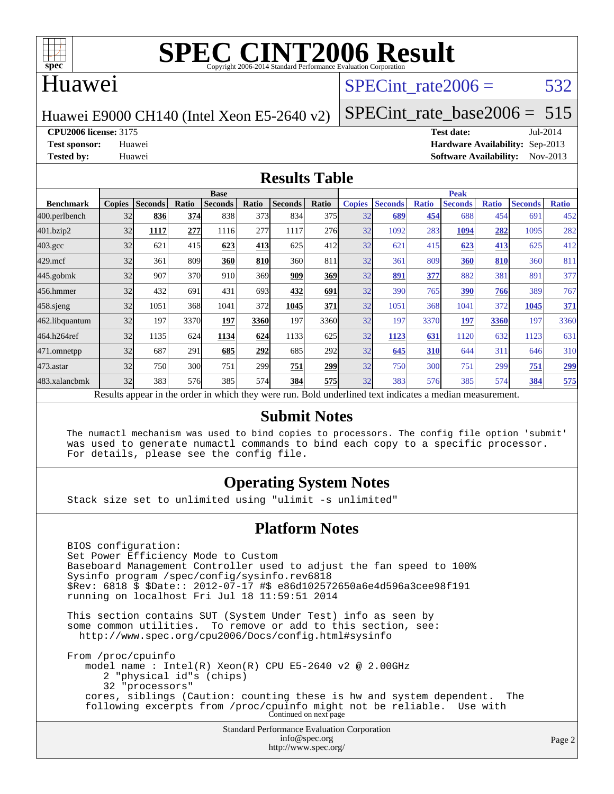

### Huawei

## SPECint rate $2006 = 532$

Huawei E9000 CH140 (Intel Xeon E5-2640 v2)

[SPECint\\_rate\\_base2006 =](http://www.spec.org/auto/cpu2006/Docs/result-fields.html#SPECintratebase2006) 515

**[CPU2006 license:](http://www.spec.org/auto/cpu2006/Docs/result-fields.html#CPU2006license)** 3175 **[Test date:](http://www.spec.org/auto/cpu2006/Docs/result-fields.html#Testdate)** Jul-2014

**[Test sponsor:](http://www.spec.org/auto/cpu2006/Docs/result-fields.html#Testsponsor)** Huawei **[Hardware Availability:](http://www.spec.org/auto/cpu2006/Docs/result-fields.html#HardwareAvailability)** Sep-2013 **[Tested by:](http://www.spec.org/auto/cpu2006/Docs/result-fields.html#Testedby)** Huawei **[Software Availability:](http://www.spec.org/auto/cpu2006/Docs/result-fields.html#SoftwareAvailability)** Nov-2013

#### **[Results Table](http://www.spec.org/auto/cpu2006/Docs/result-fields.html#ResultsTable)**

|                                                                                                          | <b>Base</b>   |                |       |                |            |                |       | <b>Peak</b>   |                |              |                |              |                |              |
|----------------------------------------------------------------------------------------------------------|---------------|----------------|-------|----------------|------------|----------------|-------|---------------|----------------|--------------|----------------|--------------|----------------|--------------|
| <b>Benchmark</b>                                                                                         | <b>Copies</b> | <b>Seconds</b> | Ratio | <b>Seconds</b> | Ratio      | <b>Seconds</b> | Ratio | <b>Copies</b> | <b>Seconds</b> | <b>Ratio</b> | <b>Seconds</b> | <b>Ratio</b> | <b>Seconds</b> | <b>Ratio</b> |
| 400.perlbench                                                                                            | 32            | 836            | 374   | 838            | 373I       | 834            | 375   | 32            | 689            | 454          | 688            | 454          | 691            | 452          |
| 401.bzip2                                                                                                | 32            | 1117           | 277   | 1116           | 277        | 1117           | 276   | 32            | 1092           | 283          | 1094           | 282          | 1095           | 282          |
| $403.\text{gcc}$                                                                                         | 32            | 621            | 415   | 623            | 413        | 625            | 412   | 32            | 621            | 415          | 623            | 413          | 625            | 412          |
| $429$ .mcf                                                                                               | 32            | 361            | 809   | 360            | <b>810</b> | 360            | 811   | 32            | 361            | 809          | 360            | 810          | 360            | 811          |
| $445$ .gobmk                                                                                             | 32            | 907            | 370   | 910            | 369        | 909            | 369   | 32            | 891            | 377          | 882            | 381          | 891            | 377          |
| 456.hmmer                                                                                                | 32            | 432            | 691   | 431            | 693        | 432            | 691   | 32            | 390            | 765          | 390            | 766          | 389            | 767          |
| $458$ .sjeng                                                                                             | 32            | 1051           | 368   | 1041           | 372        | 1045           | 371   | 32            | 1051           | 368          | 1041           | 372          | 1045           | 371          |
| 462.libquantum                                                                                           | 32            | 197            | 3370  | 197            | 3360       | 197            | 3360  | 32            | 197            | 3370         | 197            | 3360         | 197            | 3360         |
| 464.h264ref                                                                                              | 32            | 1135           | 624   | 1134           | 624        | 1133           | 625   | 32            | 1123           | 631          | 1120           | 632          | 1123           | 631          |
| 471.omnetpp                                                                                              | 32            | 687            | 291   | 685            | 292        | 685            | 292   | 32            | 645            | 310          | 644            | 311          | 646            | 310          |
| $473$ . astar                                                                                            | 32            | 750            | 300   | 751            | 299        | 751            | 299   | 32            | 750            | 300          | 751            | 299          | 751            | <u>299</u>   |
| 483.xalancbmk                                                                                            | 32            | 383            | 576   | 385            | 574        | 384            | 575   | 32            | 383            | 576          | 385            | 574          | 384            | 575          |
| Results appear in the order in which they were run. Bold underlined text indicates a median measurement. |               |                |       |                |            |                |       |               |                |              |                |              |                |              |

#### **[Submit Notes](http://www.spec.org/auto/cpu2006/Docs/result-fields.html#SubmitNotes)**

 The numactl mechanism was used to bind copies to processors. The config file option 'submit' was used to generate numactl commands to bind each copy to a specific processor. For details, please see the config file.

#### **[Operating System Notes](http://www.spec.org/auto/cpu2006/Docs/result-fields.html#OperatingSystemNotes)**

Stack size set to unlimited using "ulimit -s unlimited"

#### **[Platform Notes](http://www.spec.org/auto/cpu2006/Docs/result-fields.html#PlatformNotes)**

 BIOS configuration: Set Power Efficiency Mode to Custom Baseboard Management Controller used to adjust the fan speed to 100% Sysinfo program /spec/config/sysinfo.rev6818 \$Rev: 6818 \$ \$Date:: 2012-07-17 #\$ e86d102572650a6e4d596a3cee98f191 running on localhost Fri Jul 18 11:59:51 2014 This section contains SUT (System Under Test) info as seen by some common utilities. To remove or add to this section, see: <http://www.spec.org/cpu2006/Docs/config.html#sysinfo> From /proc/cpuinfo model name : Intel(R) Xeon(R) CPU E5-2640 v2 @ 2.00GHz 2 "physical id"s (chips) 32 "processors"

 cores, siblings (Caution: counting these is hw and system dependent. The following excerpts from /proc/cpuinfo might not be reliable. Use with Continued on next page

> Standard Performance Evaluation Corporation [info@spec.org](mailto:info@spec.org) <http://www.spec.org/>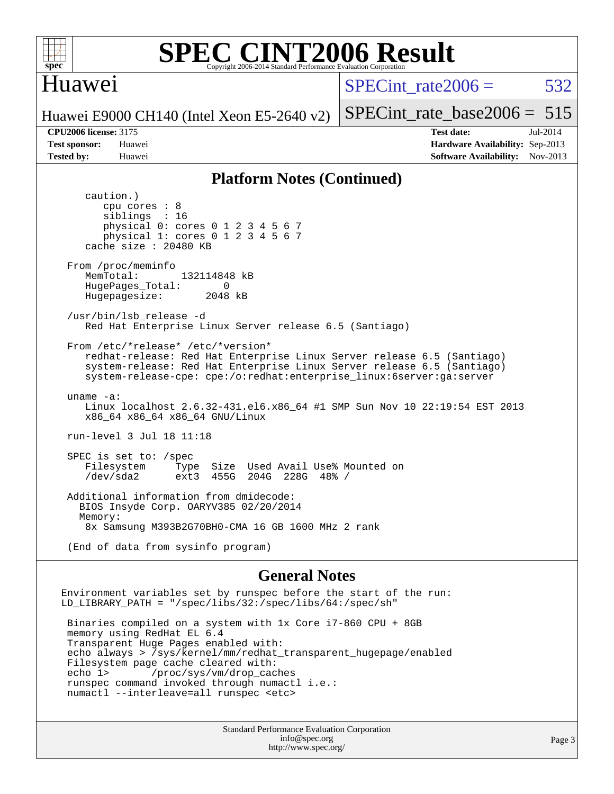

## Huawei

SPECint rate $2006 = 532$ 

[SPECint\\_rate\\_base2006 =](http://www.spec.org/auto/cpu2006/Docs/result-fields.html#SPECintratebase2006) 515

Huawei E9000 CH140 (Intel Xeon E5-2640 v2)

**[CPU2006 license:](http://www.spec.org/auto/cpu2006/Docs/result-fields.html#CPU2006license)** 3175 **[Test date:](http://www.spec.org/auto/cpu2006/Docs/result-fields.html#Testdate)** Jul-2014 **[Test sponsor:](http://www.spec.org/auto/cpu2006/Docs/result-fields.html#Testsponsor)** Huawei **[Hardware Availability:](http://www.spec.org/auto/cpu2006/Docs/result-fields.html#HardwareAvailability)** Sep-2013 **[Tested by:](http://www.spec.org/auto/cpu2006/Docs/result-fields.html#Testedby)** Huawei **[Software Availability:](http://www.spec.org/auto/cpu2006/Docs/result-fields.html#SoftwareAvailability)** Nov-2013

#### **[Platform Notes \(Continued\)](http://www.spec.org/auto/cpu2006/Docs/result-fields.html#PlatformNotes)**

 caution.) cpu cores : 8 siblings : 16 physical 0: cores 0 1 2 3 4 5 6 7 physical 1: cores 0 1 2 3 4 5 6 7 cache size : 20480 KB From /proc/meminfo MemTotal: 132114848 kB HugePages\_Total: 0<br>Hugepagesize: 2048 kB Hugepagesize: /usr/bin/lsb\_release -d Red Hat Enterprise Linux Server release 6.5 (Santiago) From /etc/\*release\* /etc/\*version\* redhat-release: Red Hat Enterprise Linux Server release 6.5 (Santiago) system-release: Red Hat Enterprise Linux Server release 6.5 (Santiago) system-release-cpe: cpe:/o:redhat:enterprise\_linux:6server:ga:server uname -a: Linux localhost 2.6.32-431.el6.x86\_64 #1 SMP Sun Nov 10 22:19:54 EST 2013 x86\_64 x86\_64 x86\_64 GNU/Linux run-level 3 Jul 18 11:18 SPEC is set to: /spec<br>Filesystem Type Filesystem Type Size Used Avail Use% Mounted on<br>
/dev/sda2 ext3 455G 204G 228G 48% / /dev/sda2 ext3 455G 204G 228G 48% / Additional information from dmidecode: BIOS Insyde Corp. OARYV385 02/20/2014 Memory: 8x Samsung M393B2G70BH0-CMA 16 GB 1600 MHz 2 rank (End of data from sysinfo program)

#### **[General Notes](http://www.spec.org/auto/cpu2006/Docs/result-fields.html#GeneralNotes)**

Environment variables set by runspec before the start of the run: LD LIBRARY PATH = "/spec/libs/32:/spec/libs/64:/spec/sh"

 Binaries compiled on a system with 1x Core i7-860 CPU + 8GB memory using RedHat EL 6.4 Transparent Huge Pages enabled with: echo always > /sys/kernel/mm/redhat\_transparent\_hugepage/enabled Filesystem page cache cleared with: echo 1> /proc/sys/vm/drop\_caches runspec command invoked through numactl i.e.: numactl --interleave=all runspec <etc>

> Standard Performance Evaluation Corporation [info@spec.org](mailto:info@spec.org) <http://www.spec.org/>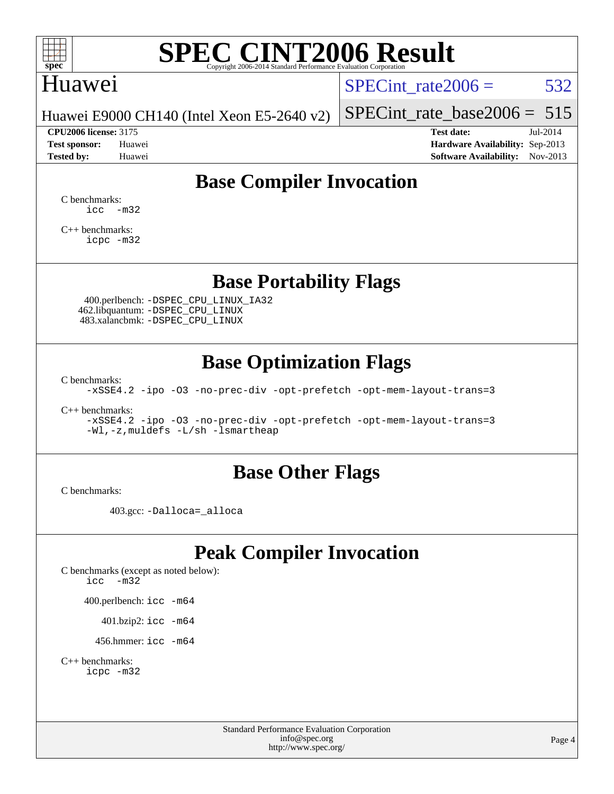

### Huawei

SPECint rate $2006 = 532$ 

[SPECint\\_rate\\_base2006 =](http://www.spec.org/auto/cpu2006/Docs/result-fields.html#SPECintratebase2006) 515

Huawei E9000 CH140 (Intel Xeon E5-2640 v2)

**[CPU2006 license:](http://www.spec.org/auto/cpu2006/Docs/result-fields.html#CPU2006license)** 3175 **[Test date:](http://www.spec.org/auto/cpu2006/Docs/result-fields.html#Testdate)** Jul-2014 **[Test sponsor:](http://www.spec.org/auto/cpu2006/Docs/result-fields.html#Testsponsor)** Huawei **[Hardware Availability:](http://www.spec.org/auto/cpu2006/Docs/result-fields.html#HardwareAvailability)** Sep-2013 **[Tested by:](http://www.spec.org/auto/cpu2006/Docs/result-fields.html#Testedby)** Huawei **[Software Availability:](http://www.spec.org/auto/cpu2006/Docs/result-fields.html#SoftwareAvailability)** Nov-2013

# **[Base Compiler Invocation](http://www.spec.org/auto/cpu2006/Docs/result-fields.html#BaseCompilerInvocation)**

[C benchmarks](http://www.spec.org/auto/cpu2006/Docs/result-fields.html#Cbenchmarks):  $\text{icc}$   $-\text{m32}$ 

[C++ benchmarks:](http://www.spec.org/auto/cpu2006/Docs/result-fields.html#CXXbenchmarks) [icpc -m32](http://www.spec.org/cpu2006/results/res2014q3/cpu2006-20140728-30647.flags.html#user_CXXbase_intel_icpc_4e5a5ef1a53fd332b3c49e69c3330699)

**[Base Portability Flags](http://www.spec.org/auto/cpu2006/Docs/result-fields.html#BasePortabilityFlags)**

 400.perlbench: [-DSPEC\\_CPU\\_LINUX\\_IA32](http://www.spec.org/cpu2006/results/res2014q3/cpu2006-20140728-30647.flags.html#b400.perlbench_baseCPORTABILITY_DSPEC_CPU_LINUX_IA32) 462.libquantum: [-DSPEC\\_CPU\\_LINUX](http://www.spec.org/cpu2006/results/res2014q3/cpu2006-20140728-30647.flags.html#b462.libquantum_baseCPORTABILITY_DSPEC_CPU_LINUX) 483.xalancbmk: [-DSPEC\\_CPU\\_LINUX](http://www.spec.org/cpu2006/results/res2014q3/cpu2006-20140728-30647.flags.html#b483.xalancbmk_baseCXXPORTABILITY_DSPEC_CPU_LINUX)

## **[Base Optimization Flags](http://www.spec.org/auto/cpu2006/Docs/result-fields.html#BaseOptimizationFlags)**

[C benchmarks](http://www.spec.org/auto/cpu2006/Docs/result-fields.html#Cbenchmarks):

[-xSSE4.2](http://www.spec.org/cpu2006/results/res2014q3/cpu2006-20140728-30647.flags.html#user_CCbase_f-xSSE42_f91528193cf0b216347adb8b939d4107) [-ipo](http://www.spec.org/cpu2006/results/res2014q3/cpu2006-20140728-30647.flags.html#user_CCbase_f-ipo) [-O3](http://www.spec.org/cpu2006/results/res2014q3/cpu2006-20140728-30647.flags.html#user_CCbase_f-O3) [-no-prec-div](http://www.spec.org/cpu2006/results/res2014q3/cpu2006-20140728-30647.flags.html#user_CCbase_f-no-prec-div) [-opt-prefetch](http://www.spec.org/cpu2006/results/res2014q3/cpu2006-20140728-30647.flags.html#user_CCbase_f-opt-prefetch) [-opt-mem-layout-trans=3](http://www.spec.org/cpu2006/results/res2014q3/cpu2006-20140728-30647.flags.html#user_CCbase_f-opt-mem-layout-trans_a7b82ad4bd7abf52556d4961a2ae94d5)

[C++ benchmarks:](http://www.spec.org/auto/cpu2006/Docs/result-fields.html#CXXbenchmarks)

[-xSSE4.2](http://www.spec.org/cpu2006/results/res2014q3/cpu2006-20140728-30647.flags.html#user_CXXbase_f-xSSE42_f91528193cf0b216347adb8b939d4107) [-ipo](http://www.spec.org/cpu2006/results/res2014q3/cpu2006-20140728-30647.flags.html#user_CXXbase_f-ipo) [-O3](http://www.spec.org/cpu2006/results/res2014q3/cpu2006-20140728-30647.flags.html#user_CXXbase_f-O3) [-no-prec-div](http://www.spec.org/cpu2006/results/res2014q3/cpu2006-20140728-30647.flags.html#user_CXXbase_f-no-prec-div) [-opt-prefetch](http://www.spec.org/cpu2006/results/res2014q3/cpu2006-20140728-30647.flags.html#user_CXXbase_f-opt-prefetch) [-opt-mem-layout-trans=3](http://www.spec.org/cpu2006/results/res2014q3/cpu2006-20140728-30647.flags.html#user_CXXbase_f-opt-mem-layout-trans_a7b82ad4bd7abf52556d4961a2ae94d5) [-Wl,-z,muldefs](http://www.spec.org/cpu2006/results/res2014q3/cpu2006-20140728-30647.flags.html#user_CXXbase_link_force_multiple1_74079c344b956b9658436fd1b6dd3a8a) [-L/sh -lsmartheap](http://www.spec.org/cpu2006/results/res2014q3/cpu2006-20140728-30647.flags.html#user_CXXbase_SmartHeap_32f6c82aa1ed9c52345d30cf6e4a0499)

### **[Base Other Flags](http://www.spec.org/auto/cpu2006/Docs/result-fields.html#BaseOtherFlags)**

[C benchmarks](http://www.spec.org/auto/cpu2006/Docs/result-fields.html#Cbenchmarks):

403.gcc: [-Dalloca=\\_alloca](http://www.spec.org/cpu2006/results/res2014q3/cpu2006-20140728-30647.flags.html#b403.gcc_baseEXTRA_CFLAGS_Dalloca_be3056838c12de2578596ca5467af7f3)

# **[Peak Compiler Invocation](http://www.spec.org/auto/cpu2006/Docs/result-fields.html#PeakCompilerInvocation)**

[C benchmarks \(except as noted below\)](http://www.spec.org/auto/cpu2006/Docs/result-fields.html#Cbenchmarksexceptasnotedbelow): [icc -m32](http://www.spec.org/cpu2006/results/res2014q3/cpu2006-20140728-30647.flags.html#user_CCpeak_intel_icc_5ff4a39e364c98233615fdd38438c6f2)

400.perlbench: [icc -m64](http://www.spec.org/cpu2006/results/res2014q3/cpu2006-20140728-30647.flags.html#user_peakCCLD400_perlbench_intel_icc_64bit_bda6cc9af1fdbb0edc3795bac97ada53)

401.bzip2: [icc -m64](http://www.spec.org/cpu2006/results/res2014q3/cpu2006-20140728-30647.flags.html#user_peakCCLD401_bzip2_intel_icc_64bit_bda6cc9af1fdbb0edc3795bac97ada53)

456.hmmer: [icc -m64](http://www.spec.org/cpu2006/results/res2014q3/cpu2006-20140728-30647.flags.html#user_peakCCLD456_hmmer_intel_icc_64bit_bda6cc9af1fdbb0edc3795bac97ada53)

[C++ benchmarks:](http://www.spec.org/auto/cpu2006/Docs/result-fields.html#CXXbenchmarks) [icpc -m32](http://www.spec.org/cpu2006/results/res2014q3/cpu2006-20140728-30647.flags.html#user_CXXpeak_intel_icpc_4e5a5ef1a53fd332b3c49e69c3330699)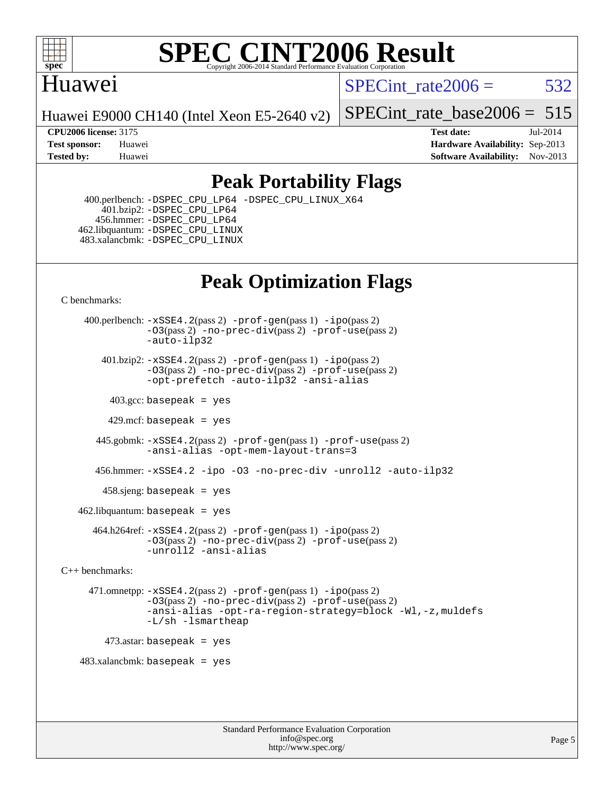

# Huawei

SPECint rate $2006 = 532$ 

Huawei E9000 CH140 (Intel Xeon E5-2640 v2)

[SPECint\\_rate\\_base2006 =](http://www.spec.org/auto/cpu2006/Docs/result-fields.html#SPECintratebase2006) 515

**[CPU2006 license:](http://www.spec.org/auto/cpu2006/Docs/result-fields.html#CPU2006license)** 3175 **[Test date:](http://www.spec.org/auto/cpu2006/Docs/result-fields.html#Testdate)** Jul-2014 **[Test sponsor:](http://www.spec.org/auto/cpu2006/Docs/result-fields.html#Testsponsor)** Huawei **[Hardware Availability:](http://www.spec.org/auto/cpu2006/Docs/result-fields.html#HardwareAvailability)** Sep-2013 **[Tested by:](http://www.spec.org/auto/cpu2006/Docs/result-fields.html#Testedby)** Huawei **[Software Availability:](http://www.spec.org/auto/cpu2006/Docs/result-fields.html#SoftwareAvailability)** Nov-2013

# **[Peak Portability Flags](http://www.spec.org/auto/cpu2006/Docs/result-fields.html#PeakPortabilityFlags)**

 400.perlbench: [-DSPEC\\_CPU\\_LP64](http://www.spec.org/cpu2006/results/res2014q3/cpu2006-20140728-30647.flags.html#b400.perlbench_peakCPORTABILITY_DSPEC_CPU_LP64) [-DSPEC\\_CPU\\_LINUX\\_X64](http://www.spec.org/cpu2006/results/res2014q3/cpu2006-20140728-30647.flags.html#b400.perlbench_peakCPORTABILITY_DSPEC_CPU_LINUX_X64) 401.bzip2: [-DSPEC\\_CPU\\_LP64](http://www.spec.org/cpu2006/results/res2014q3/cpu2006-20140728-30647.flags.html#suite_peakCPORTABILITY401_bzip2_DSPEC_CPU_LP64) 456.hmmer: [-DSPEC\\_CPU\\_LP64](http://www.spec.org/cpu2006/results/res2014q3/cpu2006-20140728-30647.flags.html#suite_peakCPORTABILITY456_hmmer_DSPEC_CPU_LP64) 462.libquantum: [-DSPEC\\_CPU\\_LINUX](http://www.spec.org/cpu2006/results/res2014q3/cpu2006-20140728-30647.flags.html#b462.libquantum_peakCPORTABILITY_DSPEC_CPU_LINUX) 483.xalancbmk: [-DSPEC\\_CPU\\_LINUX](http://www.spec.org/cpu2006/results/res2014q3/cpu2006-20140728-30647.flags.html#b483.xalancbmk_peakCXXPORTABILITY_DSPEC_CPU_LINUX)

# **[Peak Optimization Flags](http://www.spec.org/auto/cpu2006/Docs/result-fields.html#PeakOptimizationFlags)**

[C benchmarks](http://www.spec.org/auto/cpu2006/Docs/result-fields.html#Cbenchmarks):

```
 400.perlbench: -xSSE4.2(pass 2) -prof-gen(pass 1) -ipo(pass 2)
                -O3(pass 2) -no-prec-div(pass 2) -prof-use(pass 2)
                -auto-ilp32
        401.bzip2: -xSSE4.2(pass 2) -prof-gen(pass 1) -ipo(pass 2)
                -O3(pass 2) -no-prec-div(pass 2) -prof-use(pass 2)
                -opt-prefetch -auto-ilp32 -ansi-alias
         403.\text{gcc: basepeak} = yes
         429.mcf: basepeak = yes
       445.gobmk: -xSSE4.2(pass 2) -prof-gen(pass 1) -prof-use(pass 2)
                -ansi-alias -opt-mem-layout-trans=3
       456.hmmer: -xSSE4.2 -ipo -O3 -no-prec-div -unroll2 -auto-ilp32
         458.sjeng: basepeak = yes
    462.libquantum: basepeak = yes
      464.h264ref: -xSSE4. 2(pass 2)-prof-gen-ipo(pass 2)
                -O3(pass 2) -no-prec-div(pass 2) -prof-use(pass 2)
                -unroll2 -ansi-alias
C++ benchmarks: 
      471.omnetpp: -xSSE4.2(pass 2) -prof-gen(pass 1) -ipo(pass 2)
                -O3(pass 2) -no-prec-div(pass 2) -prof-use(pass 2)
                -ansi-alias -opt-ra-region-strategy=block -Wl,-z,muldefs
                -L/sh -lsmartheap
        473.astar: basepeak = yes
   483.xalanchmk: basepeak = yes
```